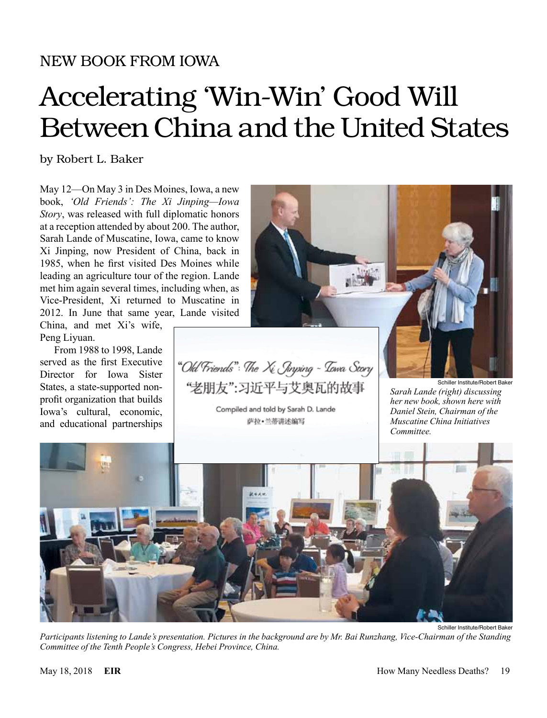## NEW BOOK FROM IOWA

## Accelerating 'Win-Win' Good Will Between China and the United States

by Robert L. Baker

May 12—On May 3 in Des Moines, Iowa, a new book, *'Old Friends': The Xi Jinping—Iowa Story*, was released with full diplomatic honors at a reception attended by about 200. The author, Sarah Lande of Muscatine, Iowa, came to know Xi Jinping, now President of China, back in 1985, when he first visited Des Moines while leading an agriculture tour of the region. Lande met him again several times, including when, as Vice-President, Xi returned to Muscatine in 2012. In June that same year, Lande visited

China, and met Xi's wife, Peng Liyuan.

From 1988 to 1998, Lande served as the first Executive Director for Iowa Sister States, a state-supported nonprofit organization that builds Iowa's cultural, economic, and educational partnerships

"Old Friends": The Xi Jinping - Towa Scory "老朋友":习近平与艾奥瓦的故事

Compiled and told by Sarah D. Lande 萨拉·兰蒂讲述编写

*Sarah Lande (right) discussing her new book, shown here with Daniel Stein, Chairman of the Muscatine China Initiatives Committee.*

*Participants listening to Lande's presentation. Pictures in the background are by Mr. Bai Runzhang, Vice-Chairman of the Standing Committee of the Tenth People's Congress, Hebei Province, China.*



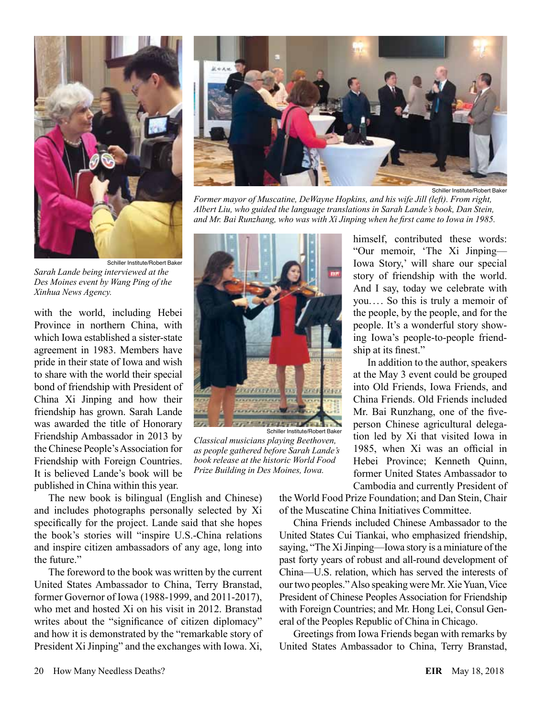

Schiller Institute/Robert Baker *Sarah Lande being interviewed at the Des Moines event by Wang Ping of the Xinhua News Agency.*

with the world, including Hebei Province in northern China, with which Iowa established a sister-state agreement in 1983. Members have pride in their state of Iowa and wish to share with the world their special bond of friendship with President of China Xi Jinping and how their friendship has grown. Sarah Lande was awarded the title of Honorary Friendship Ambassador in 2013 by the Chinese People's Association for Friendship with Foreign Countries. It is believed Lande's book will be published in China within this year.

The new book is bilingual (English and Chinese) and includes photographs personally selected by Xi specifically for the project. Lande said that she hopes the book's stories will "inspire U.S.-China relations and inspire citizen ambassadors of any age, long into the future."

The foreword to the book was written by the current United States Ambassador to China, Terry Branstad, former Governor of Iowa (1988-1999, and 2011-2017), who met and hosted Xi on his visit in 2012. Branstad writes about the "significance of citizen diplomacy" and how it is demonstrated by the "remarkable story of President Xi Jinping" and the exchanges with Iowa. Xi,



Schiller Institute/Robert Baker

*Former mayor of Muscatine, DeWayne Hopkins, and his wife Jill (left). From right, Albert Liu, who guided the language translations in Sarah Lande's book, Dan Stein, and Mr. Bai Runzhang, who was with Xi Jinping when he first came to Iowa in 1985.*



Schiller Institute/Robert Bake *Classical musicians playing Beethoven, as people gathered before Sarah Lande's book release at the historic World Food Prize Building in Des Moines, Iowa.*

himself, contributed these words: "Our memoir, 'The Xi Jinping— Iowa Story,' will share our special story of friendship with the world. And I say, today we celebrate with you.... So this is truly a memoir of the people, by the people, and for the people. It's a wonderful story showing Iowa's people-to-people friendship at its finest."

In addition to the author, speakers at the May 3 event could be grouped into Old Friends, Iowa Friends, and China Friends. Old Friends included Mr. Bai Runzhang, one of the fiveperson Chinese agricultural delegation led by Xi that visited Iowa in 1985, when Xi was an official in Hebei Province; Kenneth Quinn, former United States Ambassador to Cambodia and currently President of

the World Food Prize Foundation; and Dan Stein, Chair of the Muscatine China Initiatives Committee.

China Friends included Chinese Ambassador to the United States Cui Tiankai, who emphasized friendship, saying, "The Xi Jinping—Iowa story is a miniature of the past forty years of robust and all-round development of China—U.S. relation, which has served the interests of our two peoples." Also speaking were Mr. Xie Yuan, Vice President of Chinese Peoples Association for Friendship with Foreign Countries; and Mr. Hong Lei, Consul General of the Peoples Republic of China in Chicago.

Greetings from Iowa Friends began with remarks by United States Ambassador to China, Terry Branstad,